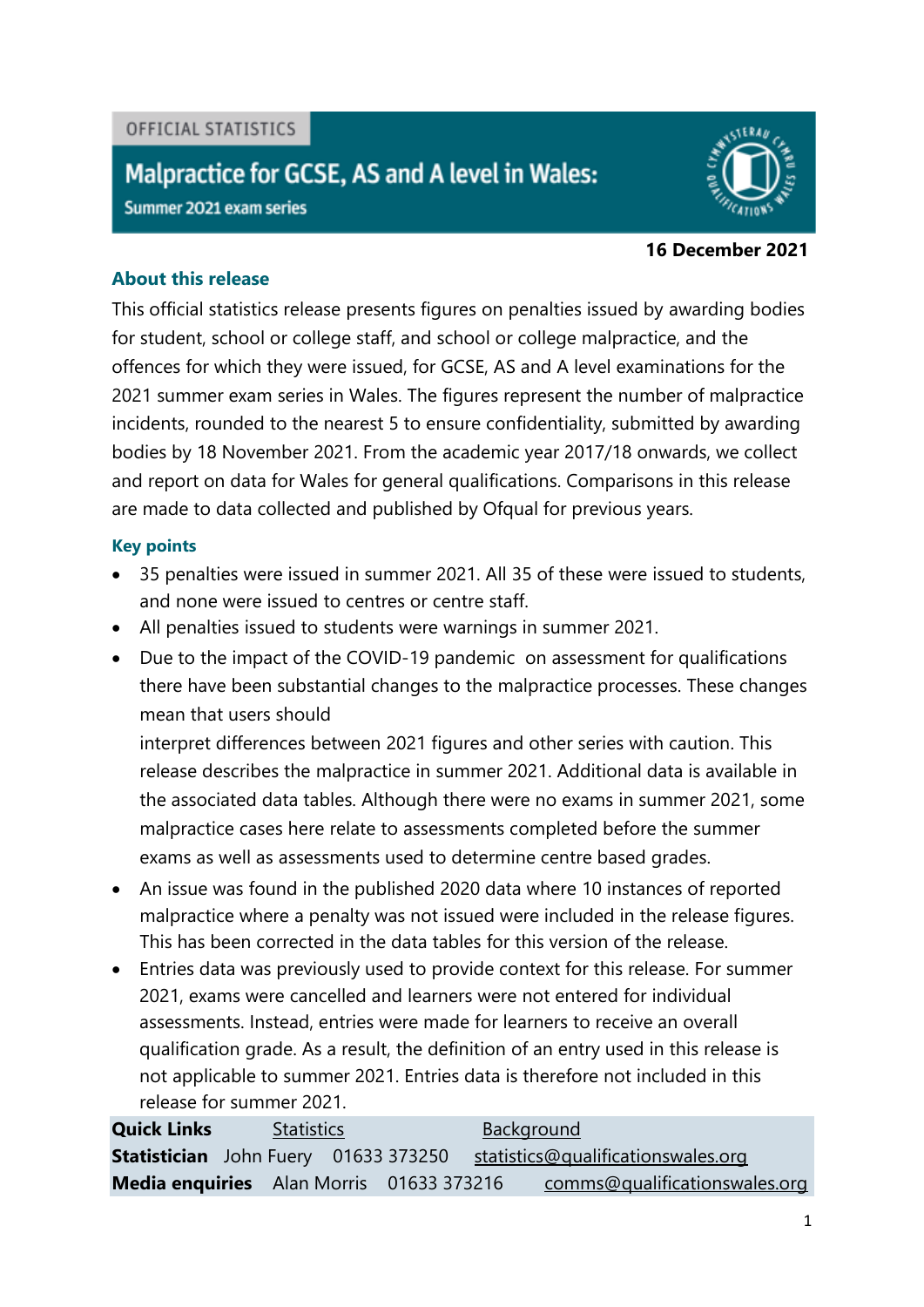## OFFICIAL STATISTICS

## Malpractice for GCSE, AS and A level in Wales:

Summer 2021 exam series



#### **16 December 2021**

## **About this release**

This official statistics release presents figures on penalties issued by awarding bodies for student, school or college staff, and school or college malpractice, and the offences for which they were issued, for GCSE, AS and A level examinations for the 2021 summer exam series in Wales. The figures represent the number of malpractice incidents, rounded to the nearest 5 to ensure confidentiality, submitted by awarding bodies by 18 November 2021. From the academic year 2017/18 onwards, we collect and report on data for Wales for general qualifications. Comparisons in this release are made to data collected and published by Ofqual for previous years.

## **Key points**

- 35 penalties were issued in summer 2021. All 35 of these were issued to students, and none were issued to centres or centre staff.
- All penalties issued to students were warnings in summer 2021.
- Due to the impact of the COVID-19 pandemic on assessment for qualifications there have been substantial changes to the malpractice processes. These changes mean that users should

interpret differences between 2021 figures and other series with caution. This release describes the malpractice in summer 2021. Additional data is available in the associated data tables. Although there were no exams in summer 2021, some malpractice cases here relate to assessments completed before the summer exams as well as assessments used to determine centre based grades.

- An issue was found in the published 2020 data where 10 instances of reported malpractice where a penalty was not issued were included in the release figures. This has been corrected in the data tables for this version of the release.
- Entries data was previously used to provide context for this release. For summer 2021, exams were cancelled and learners were not entered for individual assessments. Instead, entries were made for learners to receive an overall qualification grade. As a result, the definition of an entry used in this release is not applicable to summer 2021. Entries data is therefore not included in this release for summer 2021.

**Quick Links** [Statistics](#page-1-0) **[Background](#page-3-0) Statistician** John Fuery01633 373250[statistics@qualificationswales.org](mailto:statistics@qualificationswales.org) **Media enquiries** Alan Morris01633 373216[comms@qualificationswales.org](mailto:comms@qualificationswales.org)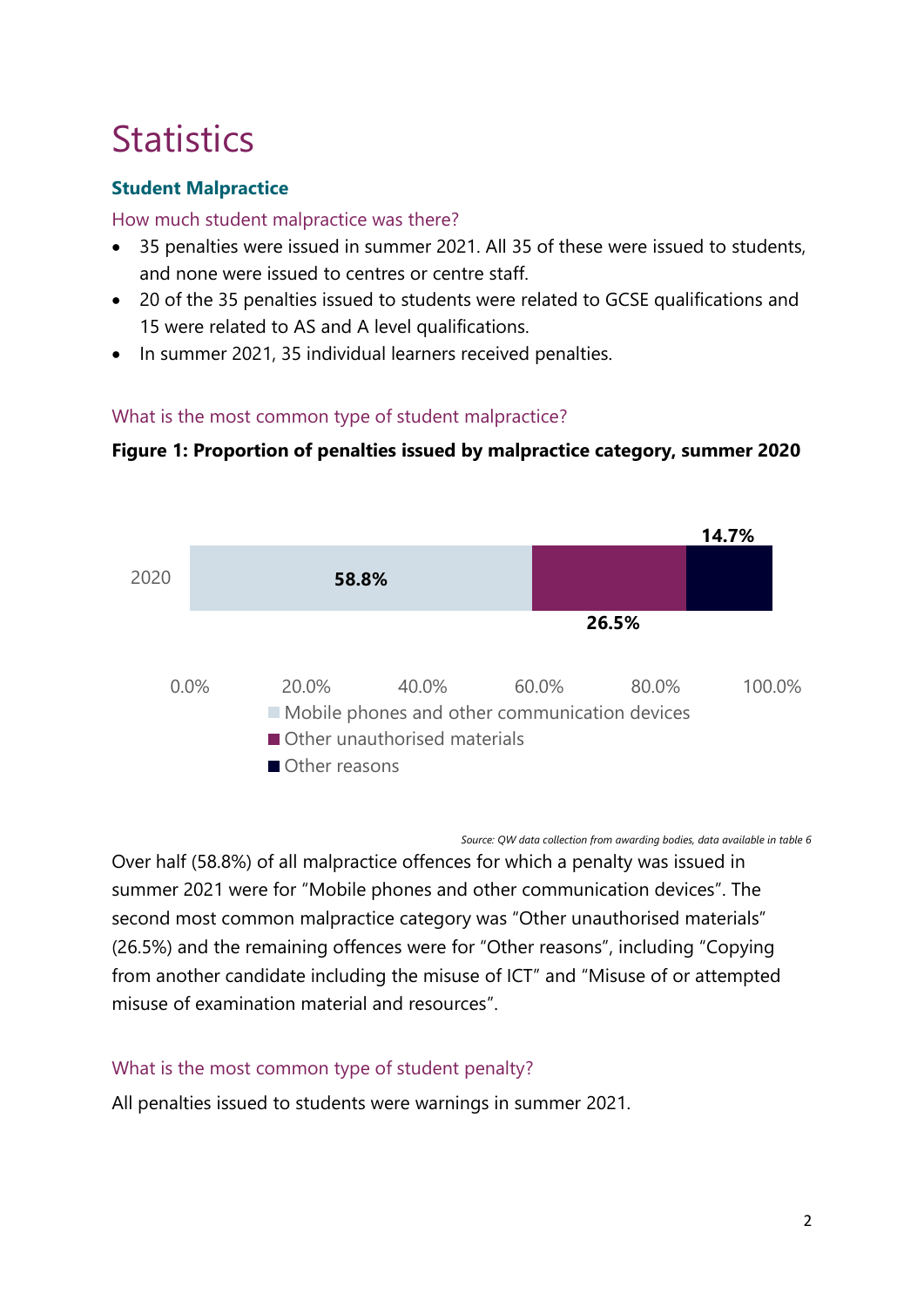## <span id="page-1-0"></span>**Statistics**

## **Student Malpractice**

## How much student malpractice was there?

- 35 penalties were issued in summer 2021. All 35 of these were issued to students, and none were issued to centres or centre staff.
- 20 of the 35 penalties issued to students were related to GCSE qualifications and 15 were related to AS and A level qualifications.
- In summer 2021, 35 individual learners received penalties.

## What is the most common type of student malpractice?





*Source: QW data collection from awarding bodies, data available in table 6*

Over half (58.8%) of all malpractice offences for which a penalty was issued in summer 2021 were for "Mobile phones and other communication devices". The second most common malpractice category was "Other unauthorised materials" (26.5%) and the remaining offences were for "Other reasons", including "Copying from another candidate including the misuse of ICT" and "Misuse of or attempted misuse of examination material and resources".

## What is the most common type of student penalty?

All penalties issued to students were warnings in summer 2021.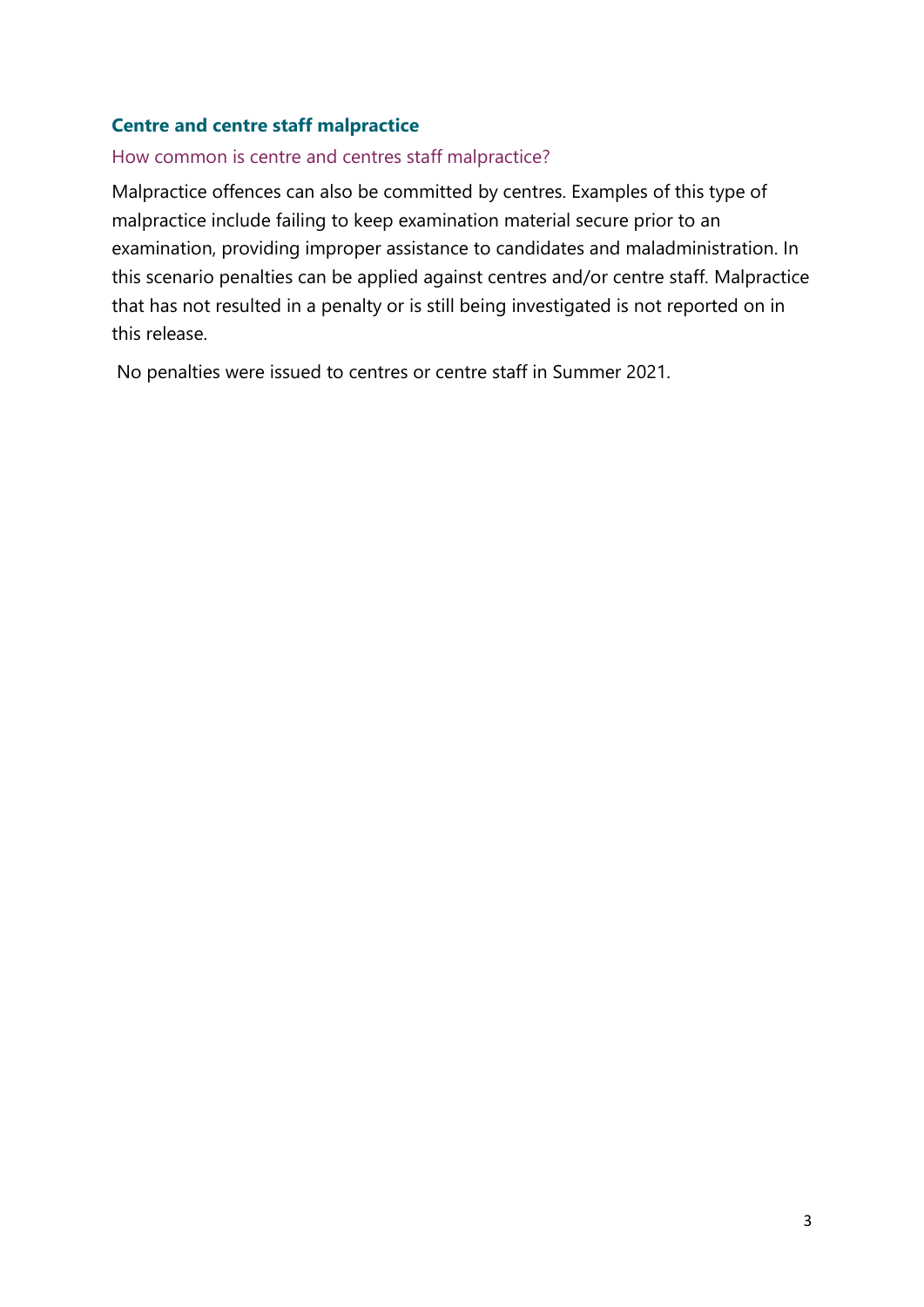## **Centre and centre staff malpractice**

## How common is centre and centres staff malpractice?

Malpractice offences can also be committed by centres. Examples of this type of malpractice include failing to keep examination material secure prior to an examination, providing improper assistance to candidates and maladministration. In this scenario penalties can be applied against centres and/or centre staff. Malpractice that has not resulted in a penalty or is still being investigated is not reported on in this release.

No penalties were issued to centres or centre staff in Summer 2021.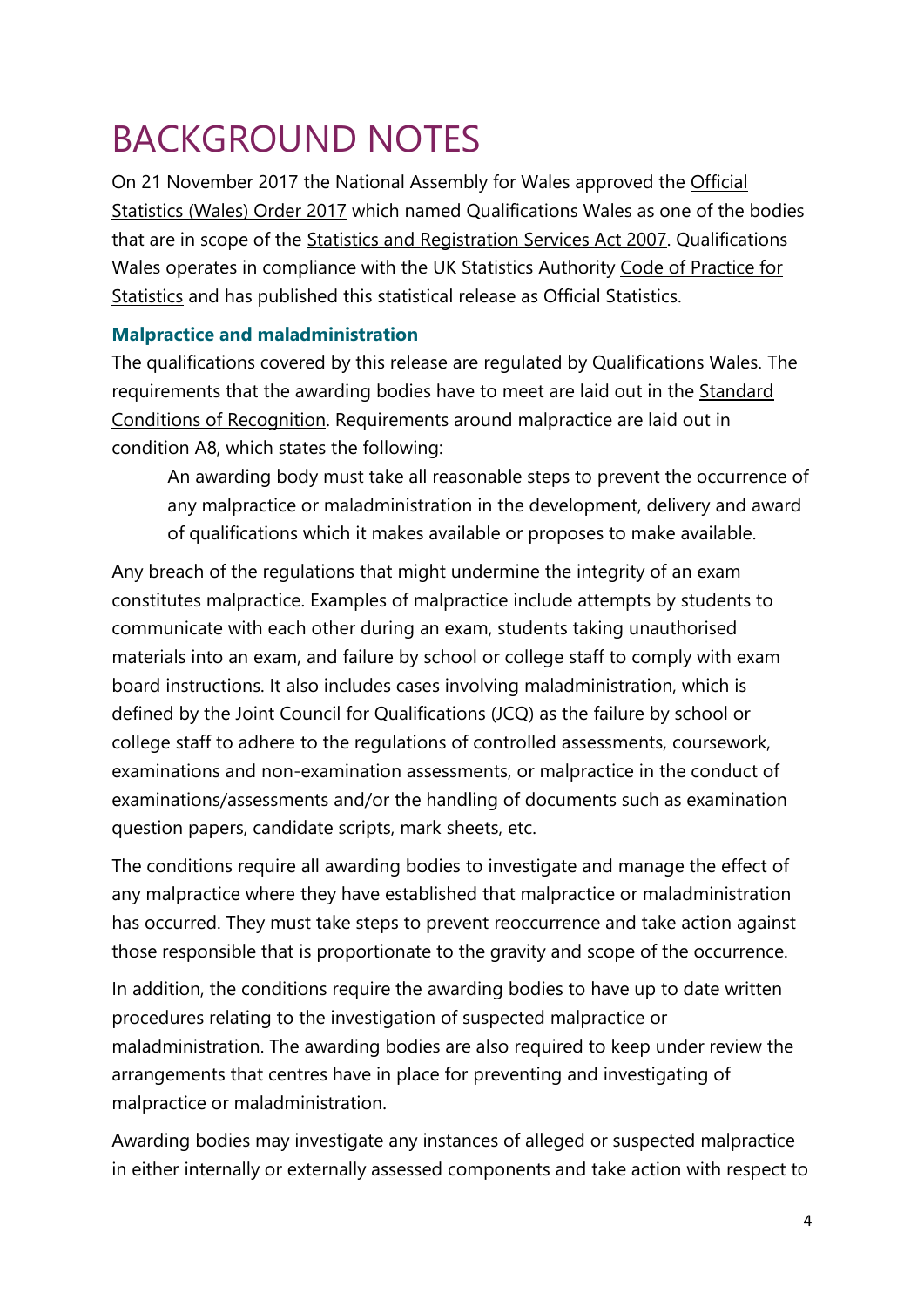# <span id="page-3-0"></span>BACKGROUND NOTES

On 21 November 2017 the National Assembly for Wales approved the [Official](http://www.legislation.gov.uk/wsi/2017/1142/pdfs/wsi_20171142_mi.pdf)  [Statistics \(Wales\) Order 2017](http://www.legislation.gov.uk/wsi/2017/1142/pdfs/wsi_20171142_mi.pdf) which named Qualifications Wales as one of the bodies that are in scope of the [Statistics and Registration Services Act 2007.](https://www.legislation.gov.uk/ukpga/2007/18/contents) Qualifications Wales operates in compliance with the UK Statistics Authority [Code of Practice for](https://www.statisticsauthority.gov.uk/code-of-practice/)  [Statistics](https://www.statisticsauthority.gov.uk/code-of-practice/) and has published this statistical release as Official Statistics.

## **Malpractice and maladministration**

The qualifications covered by this release are regulated by Qualifications Wales. The requirements that the awarding bodies have to meet are laid out in the [Standard](https://qualificationswales.org/english/our-work/our-regulatory-documents/conditions/) [Conditions of Recognition.](https://qualificationswales.org/english/our-work/our-regulatory-documents/conditions/) Requirements around malpractice are laid out in condition A8, which states the following:

An awarding body must take all reasonable steps to prevent the occurrence of any malpractice or maladministration in the development, delivery and award of qualifications which it makes available or proposes to make available.

Any breach of the regulations that might undermine the integrity of an exam constitutes malpractice. Examples of malpractice include attempts by students to communicate with each other during an exam, students taking unauthorised materials into an exam, and failure by school or college staff to comply with exam board instructions. It also includes cases involving maladministration, which is defined by the Joint Council for Qualifications (JCQ) as the failure by school or college staff to adhere to the regulations of controlled assessments, coursework, examinations and non-examination assessments, or malpractice in the conduct of examinations/assessments and/or the handling of documents such as examination question papers, candidate scripts, mark sheets, etc.

The conditions require all awarding bodies to investigate and manage the effect of any malpractice where they have established that malpractice or maladministration has occurred. They must take steps to prevent reoccurrence and take action against those responsible that is proportionate to the gravity and scope of the occurrence.

In addition, the conditions require the awarding bodies to have up to date written procedures relating to the investigation of suspected malpractice or maladministration. The awarding bodies are also required to keep under review the arrangements that centres have in place for preventing and investigating of malpractice or maladministration.

Awarding bodies may investigate any instances of alleged or suspected malpractice in either internally or externally assessed components and take action with respect to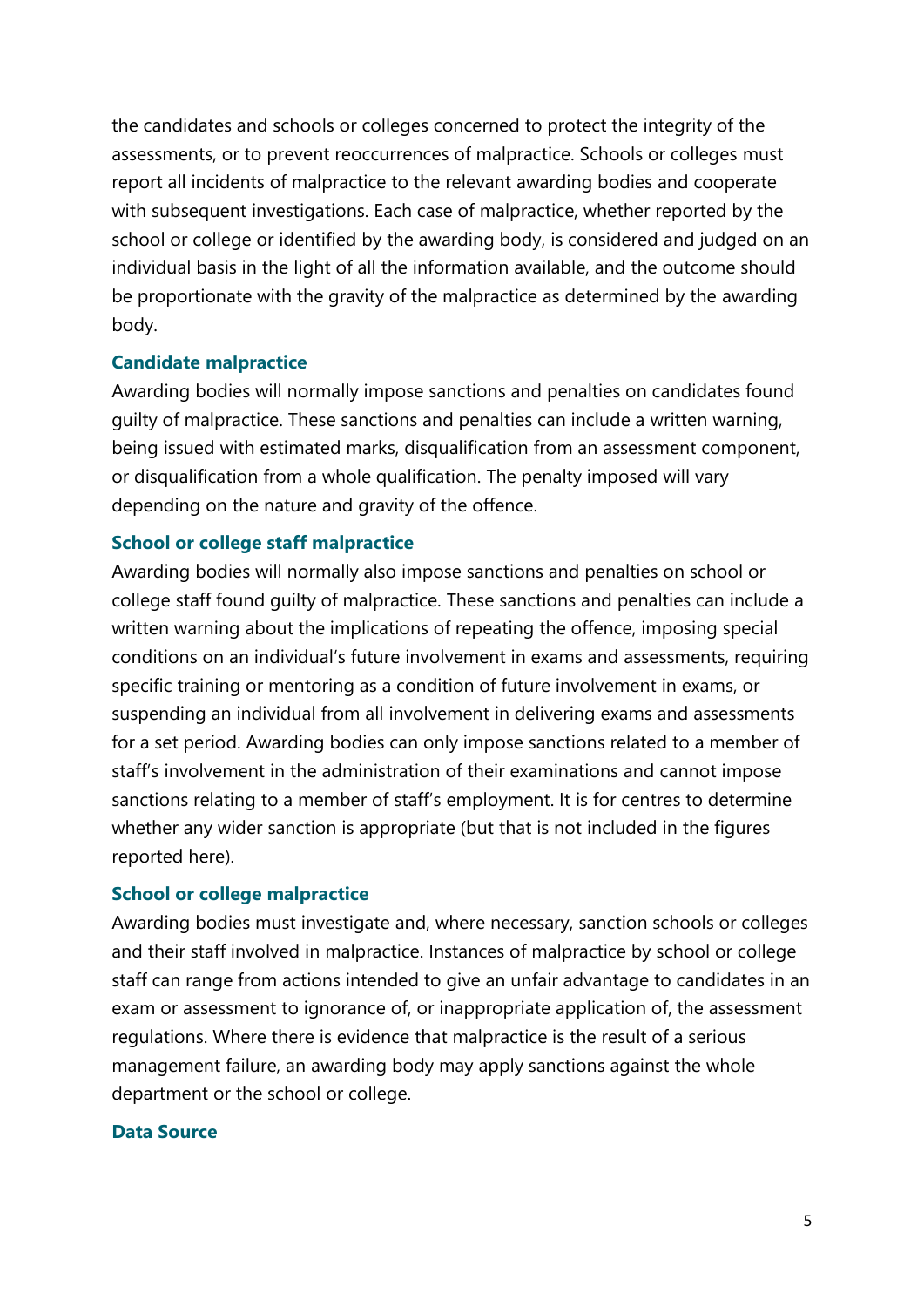the candidates and schools or colleges concerned to protect the integrity of the assessments, or to prevent reoccurrences of malpractice. Schools or colleges must report all incidents of malpractice to the relevant awarding bodies and cooperate with subsequent investigations. Each case of malpractice, whether reported by the school or college or identified by the awarding body, is considered and judged on an individual basis in the light of all the information available, and the outcome should be proportionate with the gravity of the malpractice as determined by the awarding body.

#### **Candidate malpractice**

Awarding bodies will normally impose sanctions and penalties on candidates found guilty of malpractice. These sanctions and penalties can include a written warning, being issued with estimated marks, disqualification from an assessment component, or disqualification from a whole qualification. The penalty imposed will vary depending on the nature and gravity of the offence.

#### **School or college staff malpractice**

Awarding bodies will normally also impose sanctions and penalties on school or college staff found guilty of malpractice. These sanctions and penalties can include a written warning about the implications of repeating the offence, imposing special conditions on an individual's future involvement in exams and assessments, requiring specific training or mentoring as a condition of future involvement in exams, or suspending an individual from all involvement in delivering exams and assessments for a set period. Awarding bodies can only impose sanctions related to a member of staff's involvement in the administration of their examinations and cannot impose sanctions relating to a member of staff's employment. It is for centres to determine whether any wider sanction is appropriate (but that is not included in the figures reported here).

#### **School or college malpractice**

Awarding bodies must investigate and, where necessary, sanction schools or colleges and their staff involved in malpractice. Instances of malpractice by school or college staff can range from actions intended to give an unfair advantage to candidates in an exam or assessment to ignorance of, or inappropriate application of, the assessment regulations. Where there is evidence that malpractice is the result of a serious management failure, an awarding body may apply sanctions against the whole department or the school or college.

#### **Data Source**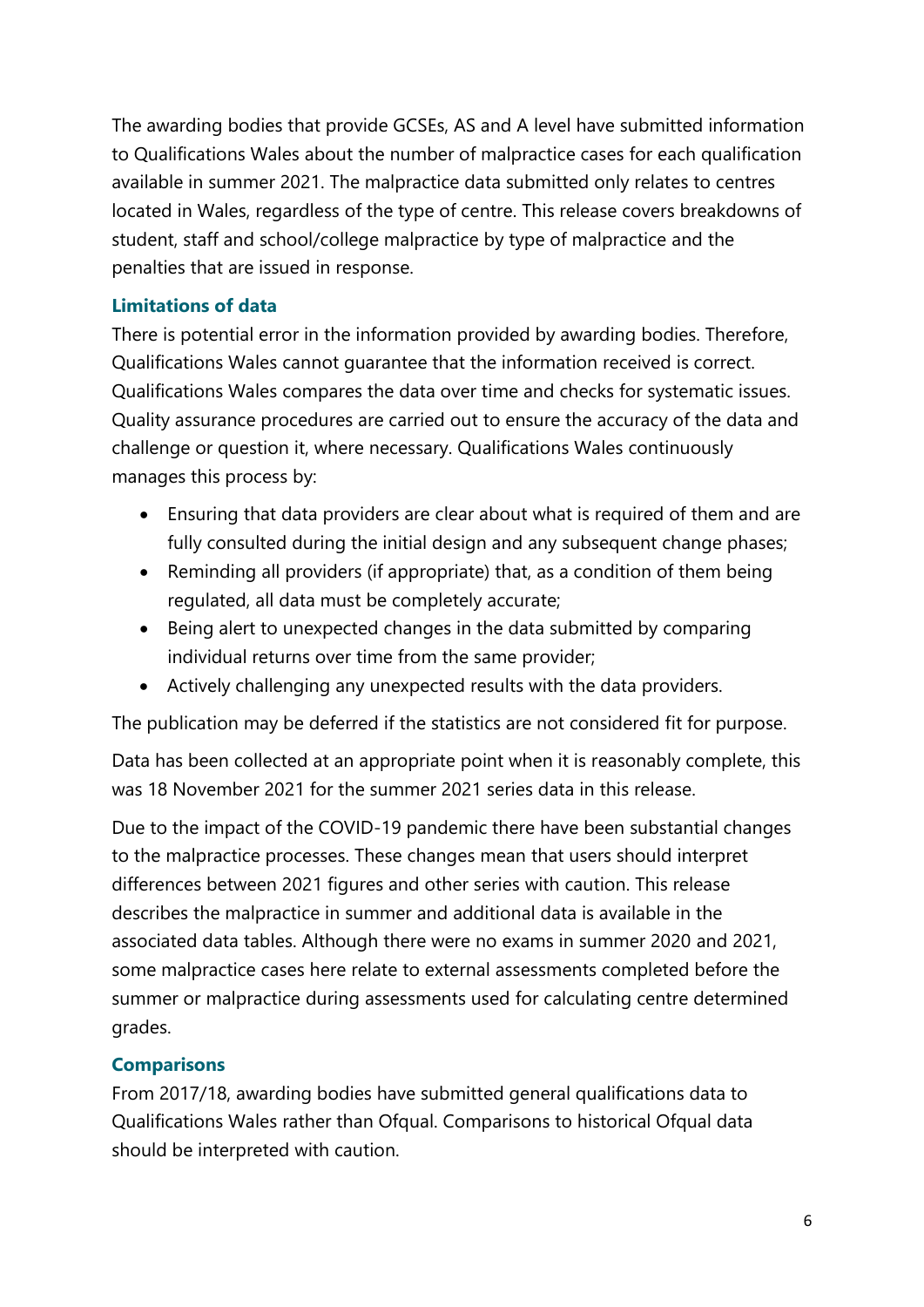The awarding bodies that provide GCSEs, AS and A level have submitted information to Qualifications Wales about the number of malpractice cases for each qualification available in summer 2021. The malpractice data submitted only relates to centres located in Wales, regardless of the type of centre. This release covers breakdowns of student, staff and school/college malpractice by type of malpractice and the penalties that are issued in response.

## **Limitations of data**

There is potential error in the information provided by awarding bodies. Therefore, Qualifications Wales cannot guarantee that the information received is correct. Qualifications Wales compares the data over time and checks for systematic issues. Quality assurance procedures are carried out to ensure the accuracy of the data and challenge or question it, where necessary. Qualifications Wales continuously manages this process by:

- Ensuring that data providers are clear about what is required of them and are fully consulted during the initial design and any subsequent change phases;
- Reminding all providers (if appropriate) that, as a condition of them being regulated, all data must be completely accurate;
- Being alert to unexpected changes in the data submitted by comparing individual returns over time from the same provider;
- Actively challenging any unexpected results with the data providers.

The publication may be deferred if the statistics are not considered fit for purpose.

Data has been collected at an appropriate point when it is reasonably complete, this was 18 November 2021 for the summer 2021 series data in this release.

Due to the impact of the COVID-19 pandemic there have been substantial changes to the malpractice processes. These changes mean that users should interpret differences between 2021 figures and other series with caution. This release describes the malpractice in summer and additional data is available in the associated data tables. Although there were no exams in summer 2020 and 2021, some malpractice cases here relate to external assessments completed before the summer or malpractice during assessments used for calculating centre determined grades.

## **Comparisons**

From 2017/18, awarding bodies have submitted general qualifications data to Qualifications Wales rather than Ofqual. Comparisons to historical Ofqual data should be interpreted with caution.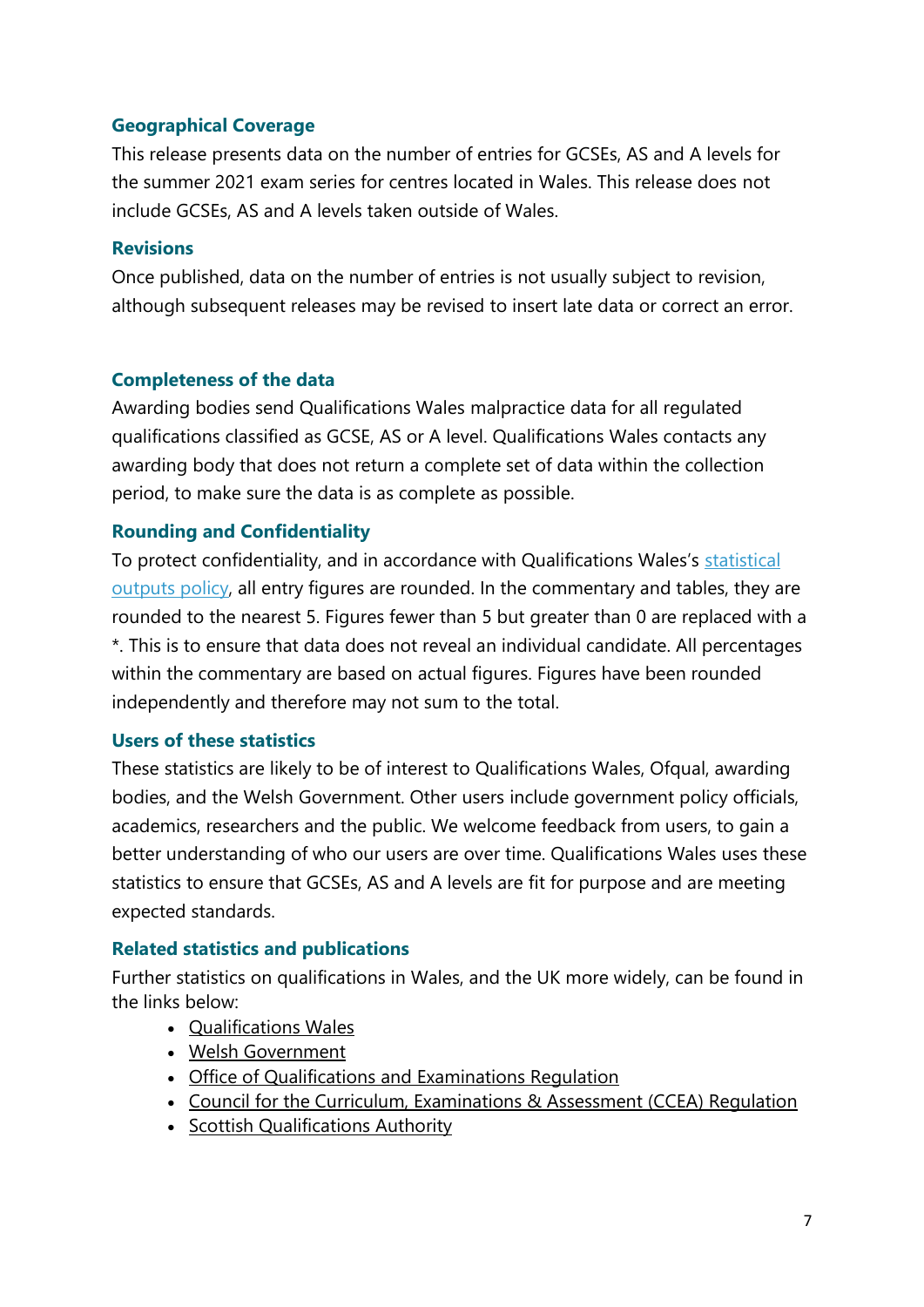## **Geographical Coverage**

This release presents data on the number of entries for GCSEs, AS and A levels for the summer 2021 exam series for centres located in Wales. This release does not include GCSEs, AS and A levels taken outside of Wales.

## **Revisions**

Once published, data on the number of entries is not usually subject to revision, although subsequent releases may be revised to insert late data or correct an error.

## **Completeness of the data**

Awarding bodies send Qualifications Wales malpractice data for all regulated qualifications classified as GCSE, AS or A level. Qualifications Wales contacts any awarding body that does not return a complete set of data within the collection period, to make sure the data is as complete as possible.

## **Rounding and Confidentiality**

To protect confidentiality, and in accordance with Qualifications Wales's [statistical](https://www.qualificationswales.org/english/publications/statistical-outputs-policy/)  [outputs policy,](https://www.qualificationswales.org/english/publications/statistical-outputs-policy/) all entry figures are rounded. In the commentary and tables, they are rounded to the nearest 5. Figures fewer than 5 but greater than 0 are replaced with a \*. This is to ensure that data does not reveal an individual candidate. All percentages within the commentary are based on actual figures. Figures have been rounded independently and therefore may not sum to the total.

## **Users of these statistics**

These statistics are likely to be of interest to Qualifications Wales, Ofqual, awarding bodies, and the Welsh Government. Other users include government policy officials, academics, researchers and the public. We welcome feedback from users, to gain a better understanding of who our users are over time. Qualifications Wales uses these statistics to ensure that GCSEs, AS and A levels are fit for purpose and are meeting expected standards.

## **Related statistics and publications**

Further statistics on qualifications in Wales, and the UK more widely, can be found in the links below:

- [Qualifications Wales](https://qualificationswales.org/english/our-work/research-and-statistics/)
- [Welsh Government](https://gov.wales/statistics-and-research?lang=en)
- [Office of Qualifications and Examinations Regulation](https://www.gov.uk/search/research-and-statistics?organisations%5B%5D=ofqual&parent=ofqual)
- [Council for the Curriculum, Examinations & Assessment \(CCEA\) Regulation](https://ccea.org.uk/regulation/reports-statistics/statistics-release-calendar)
- [Scottish Qualifications Authority](https://www.sqa.org.uk/sqa/48269.8311.html)